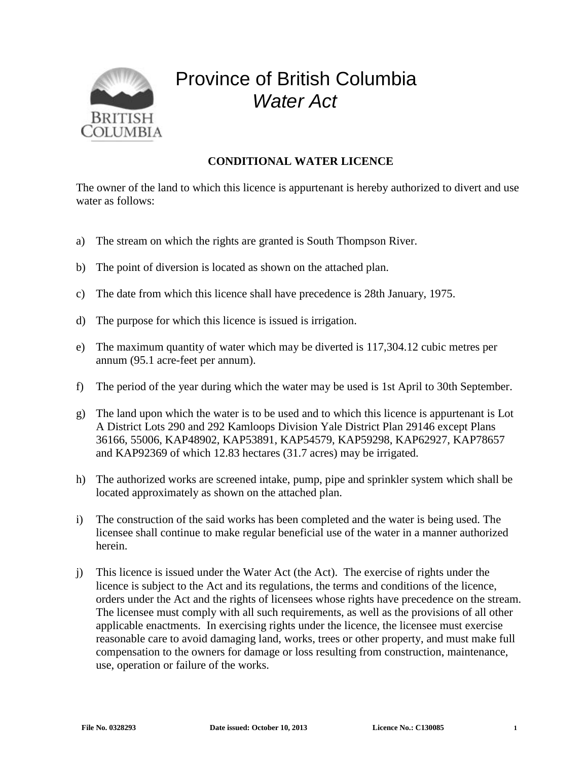

## Province of British Columbia *Water Act*

## **CONDITIONAL WATER LICENCE**

The owner of the land to which this licence is appurtenant is hereby authorized to divert and use water as follows:

- a) The stream on which the rights are granted is South Thompson River.
- b) The point of diversion is located as shown on the attached plan.
- c) The date from which this licence shall have precedence is 28th January, 1975.
- d) The purpose for which this licence is issued is irrigation.
- e) The maximum quantity of water which may be diverted is 117,304.12 cubic metres per annum (95.1 acre-feet per annum).
- f) The period of the year during which the water may be used is 1st April to 30th September.
- g) The land upon which the water is to be used and to which this licence is appurtenant is Lot A District Lots 290 and 292 Kamloops Division Yale District Plan 29146 except Plans 36166, 55006, KAP48902, KAP53891, KAP54579, KAP59298, KAP62927, KAP78657 and KAP92369 of which 12.83 hectares (31.7 acres) may be irrigated.
- h) The authorized works are screened intake, pump, pipe and sprinkler system which shall be located approximately as shown on the attached plan.
- i) The construction of the said works has been completed and the water is being used. The licensee shall continue to make regular beneficial use of the water in a manner authorized herein.
- j) This licence is issued under the Water Act (the Act). The exercise of rights under the licence is subject to the Act and its regulations, the terms and conditions of the licence, orders under the Act and the rights of licensees whose rights have precedence on the stream. The licensee must comply with all such requirements, as well as the provisions of all other applicable enactments. In exercising rights under the licence, the licensee must exercise reasonable care to avoid damaging land, works, trees or other property, and must make full compensation to the owners for damage or loss resulting from construction, maintenance, use, operation or failure of the works.